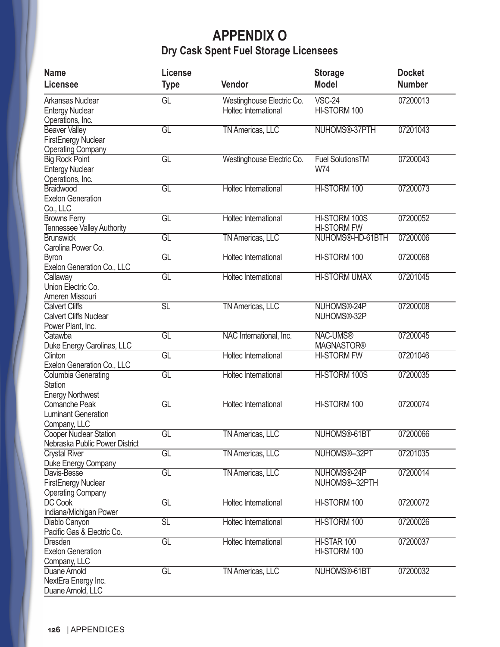## **APPENDIX O Dry Cask Spent Fuel Storage Licensees**

| <b>Name</b>                       | License                  |                                  | <b>Storage</b>          | <b>Docket</b> |
|-----------------------------------|--------------------------|----------------------------------|-------------------------|---------------|
| <b>Licensee</b>                   | <b>Type</b>              | Vendor                           | <b>Model</b>            | <b>Number</b> |
| Arkansas Nuclear                  | GL                       | Westinghouse Electric Co.        | <b>VSC-24</b>           | 07200013      |
| <b>Entergy Nuclear</b>            |                          | Holtec International             | HI-STORM 100            |               |
| Operations, Inc.                  |                          |                                  |                         |               |
| <b>Beaver Valley</b>              | GL                       | <b>TN Americas, LLC</b>          | NUHOMS®-37PTH           | 07201043      |
| FirstEnergy Nuclear               |                          |                                  |                         |               |
| <b>Operating Company</b>          |                          |                                  |                         |               |
| <b>Big Rock Point</b>             | GL                       | <b>Westinghouse Electric Co.</b> | <b>Fuel SolutionsTM</b> | 07200043      |
| <b>Entergy Nuclear</b>            |                          |                                  | W74                     |               |
| Operations, Inc.                  |                          |                                  |                         |               |
| Braidwood                         | GL                       | <b>Holtec International</b>      | HI-STORM 100            | 07200073      |
| <b>Exelon Generation</b>          |                          |                                  |                         |               |
| Co., LLC                          |                          |                                  |                         |               |
| <b>Browns Ferry</b>               | $\overline{\mathsf{GL}}$ | <b>Holtec International</b>      | HI-STORM 100S           | 07200052      |
| <b>Tennessee Valley Authority</b> |                          |                                  | <b>HI-STORM FW</b>      |               |
| <b>Brunswick</b>                  | GL                       | <b>TN Americas, LLC</b>          | NUHOMS®-HD-61BTH        | 07200006      |
| Carolina Power Co.                |                          |                                  |                         |               |
| <b>Byron</b>                      | GL                       | <b>Holtec International</b>      | HI-STORM 100            | 07200068      |
| Exelon Generation Co., LLC        |                          |                                  |                         |               |
| Callaway                          | GL                       | <b>Holtec International</b>      | <b>HI-STORM UMAX</b>    | 07201045      |
| Union Electric Co.                |                          |                                  |                         |               |
| Ameren Missouri                   |                          |                                  |                         |               |
| <b>Calvert Cliffs</b>             | $\overline{{\text{SL}}}$ | <b>TN Americas, LLC</b>          | NUHOMS®-24P             | 07200008      |
| <b>Calvert Cliffs Nuclear</b>     |                          |                                  | NUHOMS®-32P             |               |
| Power Plant, Inc.                 |                          |                                  |                         |               |
| Catawba                           | GL                       | NAC International, Inc.          | <b>NAC-UMS®</b>         | 07200045      |
| Duke Energy Carolinas, LLC        |                          |                                  | <b>MAGNASTOR®</b>       |               |
| Clinton                           | GL                       | <b>Holtec International</b>      | <b>HI-STORM FW</b>      | 07201046      |
| Exelon Generation Co., LLC        |                          |                                  |                         |               |
| <b>Columbia Generating</b>        | GL                       | <b>Holtec International</b>      | HI-STORM 100S           | 07200035      |
| <b>Station</b>                    |                          |                                  |                         |               |
| <b>Energy Northwest</b>           |                          |                                  |                         |               |
| Comanche Peak                     | GL                       | <b>Holtec International</b>      | HI-STORM 100            | 07200074      |
| <b>Luminant Generation</b>        |                          |                                  |                         |               |
| Company, LLC                      |                          |                                  |                         |               |
| Cooper Nuclear Station            | GL                       | <b>TN Americas, LLC</b>          | NUHOMS®-61BT            | 07200066      |
| Nebraska Public Power District    |                          |                                  |                         |               |
| <b>Crystal River</b>              | GL                       | <b>TN Americas, LLC</b>          | NUHOMS®-32PT            | 07201035      |
| Duke Energy Company               |                          |                                  |                         |               |
| Davis-Besse                       | $\overline{\mathsf{GL}}$ | <b>TN Americas, LLC</b>          | NUHOMS®-24P             | 07200014      |
| <b>FirstEnergy Nuclear</b>        |                          |                                  | NUHOMS®--32PTH          |               |
| <b>Operating Company</b>          |                          |                                  |                         |               |
| <b>DC Cook</b>                    | GL                       | <b>Holtec International</b>      | HI-STORM 100            | 07200072      |
| Indiana/Michigan Power            |                          |                                  |                         |               |
| Diablo Canyon                     | $\overline{{\text{SL}}}$ | <b>Holtec International</b>      | HI-STORM 100            | 07200026      |
| Pacific Gas & Electric Co.        |                          |                                  |                         |               |
| <b>Dresden</b>                    | $\overline{\mathsf{GL}}$ | <b>Holtec International</b>      | HI-STAR 100             | 07200037      |
| <b>Exelon Generation</b>          |                          |                                  | HI-STORM 100            |               |
| Company, LLC                      |                          |                                  |                         |               |
| Duane Arnold                      | GL                       | <b>TN Americas, LLC</b>          | NUHOMS®-61BT            | 07200032      |
| NextEra Energy Inc.               |                          |                                  |                         |               |
| Duane Arnold, LLC                 |                          |                                  |                         |               |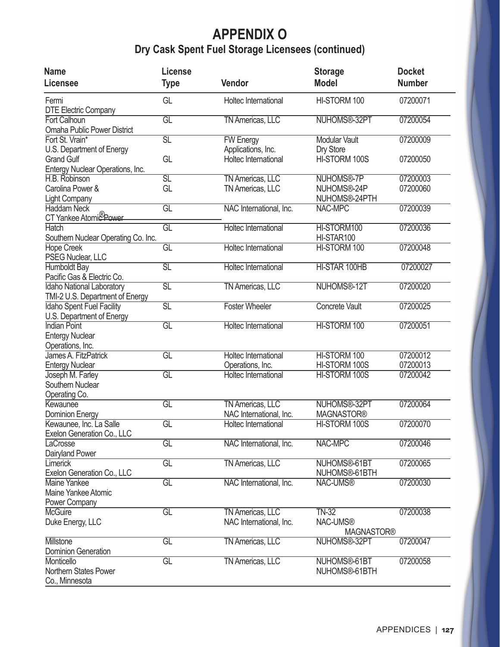## **APPENDIX O Dry Cask Spent Fuel Storage Licensees (continued)**

| <b>Name</b><br><b>Licensee</b>                                    | License<br><b>Type</b>   | Vendor                                             | <b>Storage</b><br><b>Model</b>           | <b>Docket</b><br><b>Number</b> |
|-------------------------------------------------------------------|--------------------------|----------------------------------------------------|------------------------------------------|--------------------------------|
| Fermi<br><b>DTE Electric Company</b>                              | GL                       | Holtec International                               | HI-STORM 100                             | 07200071                       |
| <b>Fort Calhoun</b><br><b>Omaha Public Power District</b>         | $\overline{GL}$          | <b>TN Americas, LLC</b>                            | NUHOMS®-32PT                             | 07200054                       |
| Fort St. Vrain*<br>U.S. Department of Energy                      | $\overline{\text{SL}}$   | <b>FW Energy</b><br>Applications, Inc.             | <b>Modular Vault</b><br>Dry Store        | 07200009                       |
| <b>Grand Gulf</b><br>Entergy Nuclear Operations, Inc.             | GL                       | Holtec International                               | HI-STORM 100S                            | 07200050                       |
| H.B. Robinson                                                     | SL                       | <b>TN Americas, LLC</b>                            | NUHOMS®-7P                               | 07200003                       |
| Carolina Power &<br><b>Light Company</b>                          | GL                       | TN Americas, LLC                                   | NUHOMS®-24P<br>NUHOMS®-24PTH             | 07200060                       |
| <b>Haddam Neck</b><br>CT Yankee Atomic Power                      | $\overline{GL}$          | NAC International, Inc.                            | <b>NAC-MPC</b>                           | 07200039                       |
| <b>Hatch</b><br>Southern Nuclear Operating Co. Inc.               | GL                       | <b>Holtec International</b>                        | HI-STORM100<br>HI-STAR100                | 07200036                       |
| <b>Hope Creek</b><br>PSEG Nuclear, LLC                            | GL                       | <b>Holtec International</b>                        | HI-STORM 100                             | 07200048                       |
| <b>Humboldt Bay</b><br>Pacific Gas & Electric Co.                 | $\overline{{\text{SL}}}$ | <b>Holtec International</b>                        | HI-STAR 100HB                            | 07200027                       |
| Idaho National Laboratory<br>TMI-2 U.S. Department of Energy      | $\overline{{\text{SL}}}$ | <b>TN Americas, LLC</b>                            | NUHOMS®-12T                              | 07200020                       |
| Idaho Spent Fuel Facility<br>U.S. Department of Energy            | $\overline{\text{SL}}$   | <b>Foster Wheeler</b>                              | <b>Concrete Vault</b>                    | 07200025                       |
| <b>Indian Point</b><br><b>Entergy Nuclear</b><br>Operations, Inc. | $\overline{GL}$          | <b>Holtec International</b>                        | HI-STORM 100                             | 07200051                       |
| James A. FitzPatrick<br><b>Entergy Nuclear</b>                    | $\overline{GL}$          | <b>Holtec International</b><br>Operations, Inc.    | HI-STORM 100<br>HI-STORM 100S            | 07200012<br>07200013           |
| Joseph M. Farley<br>Southern Nuclear<br>Operating Co.             | $\overline{GL}$          | <b>Holtec International</b>                        | HI-STORM 100S                            | 07200042                       |
| Kewaunee<br><b>Dominion Energy</b>                                | $\overline{GL}$          | <b>TN Americas, LLC</b><br>NAC International, Inc. | NUHOMS®-32PT<br><b>MAGNASTOR®</b>        | 07200064                       |
| Kewaunee, Inc. La Salle<br>Exelon Generation Co., LLC             | $\overline{GL}$          | <b>Holtec International</b>                        | HI-STORM 100S                            | 07200070                       |
| LaCrosse<br>Dairyland Power                                       | $\overline{GL}$          | NAC International, Inc.                            | <b>NAC-MPC</b>                           | 07200046                       |
| Limerick<br>Exelon Generation Co., LLC                            | $\overline{GL}$          | <b>TN Americas, LLC</b>                            | NUHOMS®-61BT<br>NUHOMS®-61BTH            | 07200065                       |
| Maine Yankee<br>Maine Yankee Atomic<br>Power Company              | $\overline{GL}$          | NAC International, Inc.                            | NAC-UMS®                                 | 07200030                       |
| <b>McGuire</b><br>Duke Energy, LLC                                | $\overline{GL}$          | <b>TN Americas, LLC</b><br>NAC International, Inc. | $TN-32$<br>NAC-UMS®<br><b>MAGNASTOR®</b> | 07200038                       |
| <b>Millstone</b><br><b>Dominion Generation</b>                    | GL                       | <b>TN Americas, LLC</b>                            | NUHOMS®-32PT                             | 07200047                       |
| Monticello<br><b>Northern States Power</b><br>Co., Minnesota      | $\overline{GL}$          | <b>TN Americas, LLC</b>                            | NUHOMS®-61BT<br>NUHOMS®-61BTH            | 07200058                       |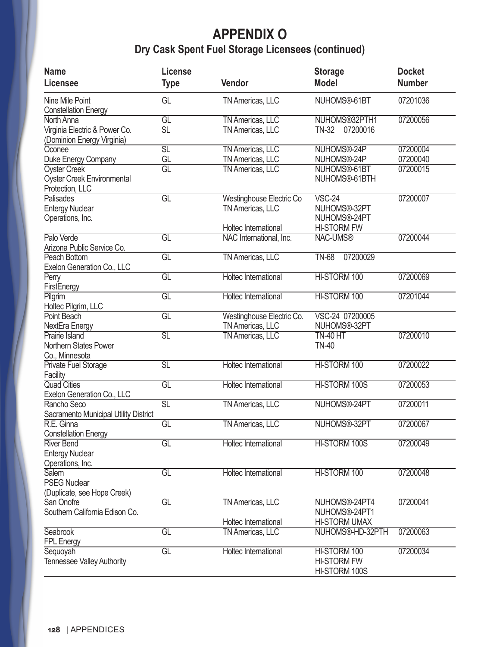## **APPENDIX O Dry Cask Spent Fuel Storage Licensees (continued)**

| <b>Name</b>                                                                                        | License                        |                                                                             | <b>Storage</b>                                                 | <b>Docket</b>        |
|----------------------------------------------------------------------------------------------------|--------------------------------|-----------------------------------------------------------------------------|----------------------------------------------------------------|----------------------|
| <b>Licensee</b>                                                                                    | <b>Type</b>                    | Vendor                                                                      | <b>Model</b>                                                   | <b>Number</b>        |
| Nine Mile Point<br><b>Constellation Energy</b>                                                     | GL                             | TN Americas, LLC                                                            | NUHOMS®-61BT                                                   | 07201036             |
| North Anna<br>Virginia Electric & Power Co.<br>(Dominion Energy Virginia)                          | $\overline{GL}$<br><b>SL</b>   | <b>TN Americas, LLC</b><br>TN Americas, LLC                                 | NUHOMS®32PTH1<br>07200016<br><b>TN-32</b>                      | 07200056             |
| Oconee                                                                                             | $\overline{{\text{SL}}}$<br>GL | <b>TN Americas, LLC</b>                                                     | NUHOMS®-24P<br>NUHOMS®-24P                                     | 07200004<br>07200040 |
| Duke Energy Company<br><b>Oyster Creek</b><br><b>Oyster Creek Environmental</b><br>Protection, LLC | $\overline{GL}$                | TN Americas, LLC<br><b>TN Americas, LLC</b>                                 | NUHOMS®-61BT<br>NUHOMS®-61BTH                                  | 07200015             |
| Palisades<br><b>Entergy Nuclear</b><br>Operations, Inc.                                            | GL                             | <b>Westinghouse Electric Co</b><br>TN Americas, LLC<br>Holtec International | $VSC-24$<br>NUHOMS®-32PT<br>NUHOMS®-24PT<br><b>HI-STORM FW</b> | 07200007             |
| Palo Verde<br>Arizona Public Service Co.                                                           | GL                             | NAC International, Inc.                                                     | <b>NAC-UMS®</b>                                                | 07200044             |
| Peach Bottom<br>Exelon Generation Co., LLC                                                         | $\overline{GL}$                | <b>TN Americas, LLC</b>                                                     | 07200029<br><b>TN-68</b>                                       |                      |
| Perry<br>FirstEnergy                                                                               | $\overline{GL}$                | <b>Holtec International</b>                                                 | HI-STORM 100                                                   | 07200069             |
| Pilgrim<br>Holtec Pilgrim, LLC                                                                     | $\overline{GL}$                | <b>Holtec International</b>                                                 | HI-STORM 100                                                   | 07201044             |
| Point Beach<br>NextEra Energy                                                                      | $\overline{GL}$                | Westinghouse Electric Co.<br>TN Americas, LLC                               | VSC-24 07200005<br>NUHOMS®-32PT                                |                      |
| Prairie Island<br>Northern States Power<br>Co., Minnesota                                          | $\overline{\text{SL}}$         | <b>TN Americas, LLC</b>                                                     | <b>TN-40 HT</b><br><b>TN-40</b>                                | 07200010             |
| Private Fuel Storage<br>Facility                                                                   | $\overline{\text{SL}}$         | <b>Holtec International</b>                                                 | HI-STORM 100                                                   | 07200022             |
| <b>Quad Cities</b><br>Exelon Generation Co., LLC                                                   | $\overline{GL}$                | <b>Holtec International</b>                                                 | HI-STORM 100S                                                  | 07200053             |
| Rancho Seco<br>Sacramento Municipal Utility District                                               | $\overline{\text{SL}}$         | <b>TN Americas, LLC</b>                                                     | NUHOMS®-24PT                                                   | 07200011             |
| R.E. Ginna<br><b>Constellation Energy</b>                                                          | GL                             | <b>TN Americas, LLC</b>                                                     | NUHOMS®-32PT                                                   | 07200067             |
| <b>River Bend</b><br><b>Entergy Nuclear</b><br>Operations, Inc.                                    | GL                             | <b>Holtec International</b>                                                 | HI-STORM 100S                                                  | 07200049             |
| <b>Salem</b><br><b>PSEG Nuclear</b><br>(Duplicate, see Hope Creek)                                 | GL                             | <b>Holtec International</b>                                                 | HI-STORM 100                                                   | 07200048             |
| San Onofre<br>Southern California Edison Co.                                                       | GL                             | <b>TN Americas, LLC</b><br>Holtec International                             | NUHOMS®-24PT4<br>NUHOMS®-24PT1<br><b>HI-STORM UMAX</b>         | 07200041             |
| Seabrook<br><b>FPL Energy</b>                                                                      | GL                             | <b>TN Americas, LLC</b>                                                     | NUHOMS®-HD-32PTH                                               | 07200063             |
| Sequoyah<br><b>Tennessee Valley Authority</b>                                                      | $\overline{GL}$                | <b>Holtec International</b>                                                 | HI-STORM 100<br><b>HI-STORM FW</b><br>HI-STORM 100S            | 07200034             |